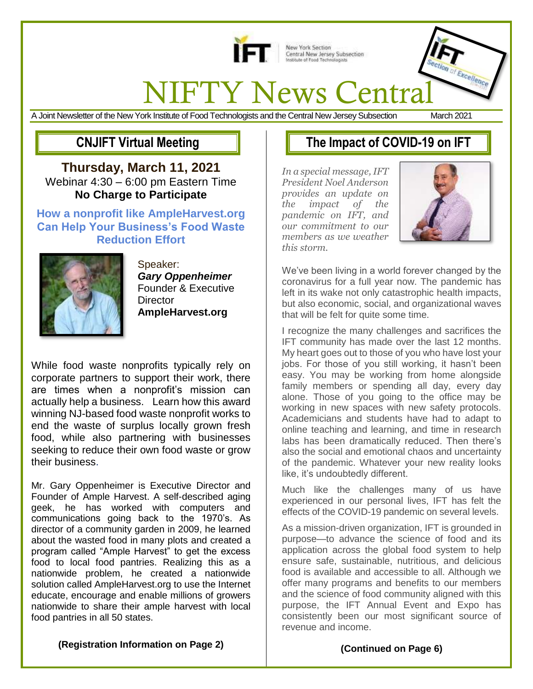

New York Section<br>Central New Jersey Subsection<br>Institute of Food Technologists

# **NIFTY News Central**

A Joint Newsletter of the New York Institute of Food Technologists and the Central New Jersey Subsection March 2021

**CNJIFT Virtual Meeting**

**Thursday, March 11, 2021** Webinar 4:30 – 6:00 pm Eastern Time **No Charge to Participate**

#### **How a nonprofit like AmpleHarvest.org Can Help Your Business's Food Waste Reduction Effort**



Speaker: *Gary Oppenheimer* Founder & Executive **Director AmpleHarvest.org**

While food waste nonprofits typically rely on corporate partners to support their work, there are times when a nonprofit's mission can actually help a business. Learn how this award winning NJ-based food waste nonprofit works to end the waste of surplus locally grown fresh food, while also partnering with businesses seeking to reduce their own food waste or grow their business.

Mr. Gary Oppenheimer is Executive Director and Founder of Ample Harvest. A self-described aging geek, he has worked with computers and communications going back to the 1970's. As director of a community garden in 2009, he learned about the wasted food in many plots and created a program called "Ample Harvest" to get the excess food to local food pantries. Realizing this as a nationwide problem, he created a nationwide solution called AmpleHarvest.org to use the Internet educate, encourage and enable millions of growers nationwide to share their ample harvest with local food pantries in all 50 states.

# **The Impact of COVID-19 on IFT**

*In a special message, IFT President Noel Anderson provides an update on the impact of the pandemic on IFT, and our commitment to our members as we weather this storm.*



We've been living in a world forever changed by the coronavirus for a full year now. The pandemic has left in its wake not only catastrophic health impacts, but also economic, social, and organizational waves that will be felt for quite some time.

I recognize the many challenges and sacrifices the IFT community has made over the last 12 months. My heart goes out to those of you who have lost your jobs. For those of you still working, it hasn't been easy. You may be working from home alongside family members or spending all day, every day alone. Those of you going to the office may be working in new spaces with new safety protocols. Academicians and students have had to adapt to online teaching and learning, and time in research labs has been dramatically reduced. Then there's also the social and emotional chaos and uncertainty of the pandemic. Whatever your new reality looks like, it's undoubtedly different.

Much like the challenges many of us have experienced in our personal lives, IFT has felt the effects of the COVID-19 pandemic on several levels.

As a mission-driven organization, IFT is grounded in purpose—to advance the science of food and its application across the global food system to help ensure safe, sustainable, nutritious, and delicious food is available and accessible to all. Although we offer many programs and benefits to our members and the science of food community aligned with this purpose, the IFT Annual Event and Expo has consistently been our most significant source of revenue and income.

**(Registration Information on Page 2)**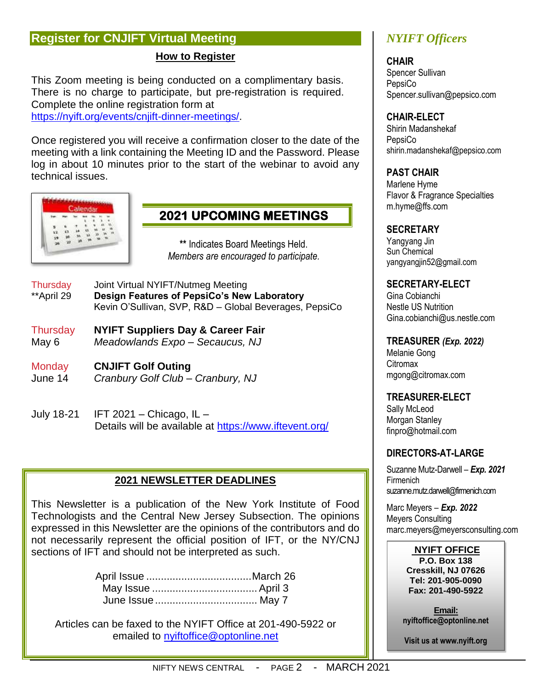## **Register for CNJIFT Virtual Meeting**

#### **How to Register**

This Zoom meeting is being conducted on a complimentary basis. There is no charge to participate, but pre-registration is required. Complete the online registration form at [https://nyift.org/events/cnjift-dinner-meetings/.](https://nyift.org/events/cnjift-dinner-meetings/)

Once registered you will receive a confirmation closer to the date of the meeting with a link containing the Meeting ID and the Password. Please log in about 10 minutes prior to the start of the webinar to avoid any technical issues.



# **2021 UPCOMING MEETINGS**

**\*\*** Indicates Board Meetings Held. *Members are encouraged to participate.* 

- Thursday Joint Virtual NYIFT/Nutmeg Meeting \*\*April 29 **Design Features of PepsiCo's New Laboratory** Kevin O'Sullivan, SVP, R&D – Global Beverages, PepsiCo
- Thursday **NYIFT Suppliers Day & Career Fair** May 6 *Meadowlands Expo – Secaucus, NJ*
- Monday **CNJIFT Golf Outing** June 14 *Cranbury Golf Club – Cranbury, NJ*
- July 18-21 IFT 2021 Chicago, IL Details will be available at <https://www.iftevent.org/>

#### **2021 NEWSLETTER DEADLINES**

This Newsletter is a publication of the New York Institute of Food Technologists and the Central New Jersey Subsection. The opinions expressed in this Newsletter are the opinions of the contributors and do not necessarily represent the official position of IFT, or the NY/CNJ sections of IFT and should not be interpreted as such.

Articles can be faxed to the NYIFT Office at 201-490-5922 or emailed to [nyiftoffice@optonline.net](mailto:nyiftoffice@optonline.net)

## *NYIFT Officers*

**CHAIR** Spencer Sullivan **PepsiCo** Spencer.sullivan@pepsico.com

#### **CHAIR-ELECT**

Shirin Madanshekaf **PepsiCo** shirin.madanshekaf@pepsico.com

#### **PAST CHAIR**

Marlene Hyme Flavor & Fragrance Specialties m.hyme@ffs.com

#### **SECRETARY**

Yangyang Jin Sun Chemical yangyangjin52@gmail.com

#### **SECRETARY-ELECT**

Gina Cobianchi Nestle US Nutrition Gina.cobianchi@us.nestle.com

#### **TREASURER** *(Exp. 2022)*

Melanie Gong **Citromax** mgong@citromax.com

#### **TREASURER-ELECT**

Sally McLeod Morgan Stanley finpro@hotmail.com

#### **DIRECTORS-AT-LARGE**

Suzanne Mutz-Darwell *– Exp. 2021* Firmenich suzanne.mutz.darwell@firmenich.com

Marc Meyers *– Exp. 2022* Meyers Consulting marc.meyers@meyersconsulting.com

#### **NYIFT OFFICE**

**P.O. Box 138 Cresskill, NJ 07626 Tel: 201-905-0090 Fax: 201-490-5922**

**Email: nyiftoffice@optonline.net**

**Visit us at www.nyift.org**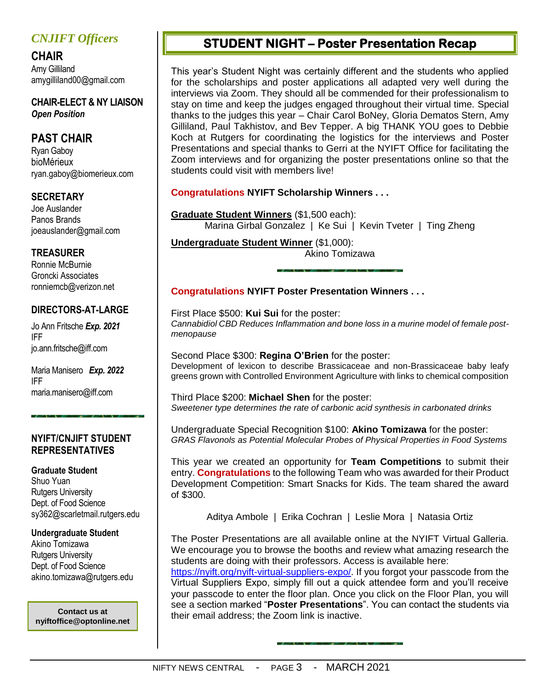## *CNJIFT Officers*

**CHAIR** Amy Gilliland amygilliland00@gmail.com

**CHAIR-ELECT & NY LIAISON** *Open Position*

### **PAST CHAIR**

Ryan Gaboy bioMérieux ryan.gaboy@biomerieux.com

#### **SECRETARY**

Joe Auslander Panos Brands joeauslander@gmail.com

#### **TREASURER**

Ronnie McBurnie Groncki Associates ronniemcb@verizon.net

#### **DIRECTORS-AT-LARGE**

Jo Ann Fritsche *Exp. 2021* IFF [jo.ann.fritsche@iff.c](mailto:jo.ann.fritsche@iff)om

Maria Manisero *Exp. 2022* IFF [maria.manisero@iff.com](mailto:maria.manisero@iff.com)

#### **NYIFT/CNJIFT STUDENT REPRESENTATIVES**

**Graduate Student** Shuo Yuan Rutgers University Dept. of Food Science sy362@scarletmail.rutgers.edu

#### **Undergraduate Student**

Akino Tomizawa Rutgers University Dept. of Food Science akino.tomizawa@rutgers.edu

**nyiftoffice@optonline.net**

## **STUDENT NIGHT – Poster Presentation Recap**

This year's Student Night was certainly different and the students who applied for the scholarships and poster applications all adapted very well during the interviews via Zoom. They should all be commended for their professionalism to stay on time and keep the judges engaged throughout their virtual time. Special thanks to the judges this year – Chair Carol BoNey, Gloria Dematos Stern, Amy Gilliland, Paul Takhistov, and Bev Tepper. A big THANK YOU goes to Debbie Koch at Rutgers for coordinating the logistics for the interviews and Poster Presentations and special thanks to Gerri at the NYIFT Office for facilitating the Zoom interviews and for organizing the poster presentations online so that the students could visit with members live!

#### **Congratulations NYIFT Scholarship Winners . . .**

**Graduate Student Winners** (\$1,500 each): Marina Girbal Gonzalez | Ke Sui | Kevin Tveter | Ting Zheng

**Undergraduate Student Winner** (\$1,000):

Akino Tomizawa

#### **Congratulations NYIFT Poster Presentation Winners . . .**

First Place \$500: **Kui Sui** for the poster: *Cannabidiol CBD Reduces Inflammation and bone loss in a murine model of female postmenopause* 

Second Place \$300: **Regina O'Brien** for the poster: Development of lexicon to describe Brassicaceae and non-Brassicaceae baby leafy greens grown with Controlled Environment Agriculture with links to chemical composition

Third Place \$200: **Michael Shen** for the poster: *Sweetener type determines the rate of carbonic acid synthesis in carbonated drinks*

Undergraduate Special Recognition \$100: **Akino Tomizawa** for the poster: *GRAS Flavonols as Potential Molecular Probes of Physical Properties in Food Systems*

This year we created an opportunity for **Team Competitions** to submit their entry. **Congratulations** to the following Team who was awarded for their Product Development Competition: Smart Snacks for Kids. The team shared the award of \$300.

Aditya Ambole | Erika Cochran | Leslie Mora | Natasia Ortiz

The Poster Presentations are all available online at the NYIFT Virtual Galleria. We encourage you to browse the booths and review what amazing research the students are doing with their professors. Access is available here:

[https://nyift.org/nyift-virtual-suppliers-expo/.](https://nyift.org/nyift-virtual-suppliers-expo/) If you forgot your passcode from the Virtual Suppliers Expo, simply fill out a quick attendee form and you'll receive your passcode to enter the floor plan. Once you click on the Floor Plan, you will see a section marked "**Poster Presentations**". You can contact the students via **their email address; the Zoom link is inactive.**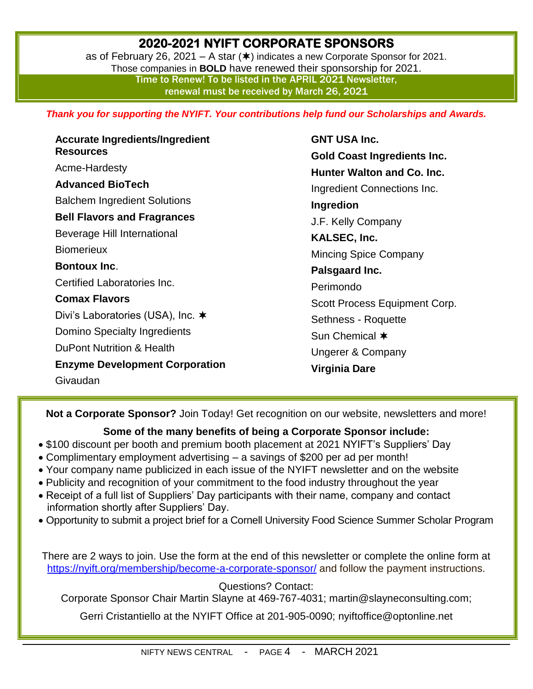# **2020-2021 NYIFT CORPORATE SPONSORS**

as of February 26, 2021 – A star  $(\ast)$  indicates a new Corporate Sponsor for 2021. Those companies in **BOLD** have renewed their sponsorship for 2021. Time to Renew! To be listed in the APRIL 2021 Newsletter, renewal must be received by March 26, 2021

*Thank you for supporting the NYIFT. Your contributions help fund our Scholarships and Awards.*

**Accurate Ingredients/Ingredient Resources** Acme-Hardesty **Advanced BioTech** Balchem Ingredient Solutions **Bell Flavors and Fragrances** Beverage Hill International **Biomerieux Bontoux Inc**. Certified Laboratories Inc. **Comax Flavors** Divi's Laboratories (USA), Inc. **★** Domino Specialty Ingredients DuPont Nutrition & Health **Enzyme Development Corporation** Givaudan

**GNT USA Inc. Gold Coast Ingredients Inc. Hunter Walton and Co. Inc.** Ingredient Connections Inc. **Ingredion** J.F. Kelly Company **KALSEC, Inc.** Mincing Spice Company **Palsgaard Inc.** Perimondo Scott Process Equipment Corp. Sethness - Roquette Sun Chemical  $*$ Ungerer & Company **Virginia Dare**

**Not a Corporate Sponsor?** Join Today! Get recognition on our website, newsletters and more!

#### **Some of the many benefits of being a Corporate Sponsor include:**

- \$100 discount per booth and premium booth placement at 2021 NYIFT's Suppliers' Day
- Complimentary employment advertising a savings of \$200 per ad per month!
- Your company name publicized in each issue of the NYIFT newsletter and on the website
- Publicity and recognition of your commitment to the food industry throughout the year
- Receipt of a full list of Suppliers' Day participants with their name, company and contact information shortly after Suppliers' Day.
- Opportunity to submit a project brief for a Cornell University Food Science Summer Scholar Program

There are 2 ways to join. Use the form at the end of this newsletter or complete the online form at <https://nyift.org/membership/become-a-corporate-sponsor/> and follow the payment instructions.

Questions? Contact:

Corporate Sponsor Chair Martin Slayne at 469-767-4031; [martin@slayneconsulting.com;](mailto:martin@slayneconsulting.com)

Gerri Cristantiello at the NYIFT Office at 201-905-0090; [nyiftoffice@optonline.net](mailto:nyiftoffice@optonline.net)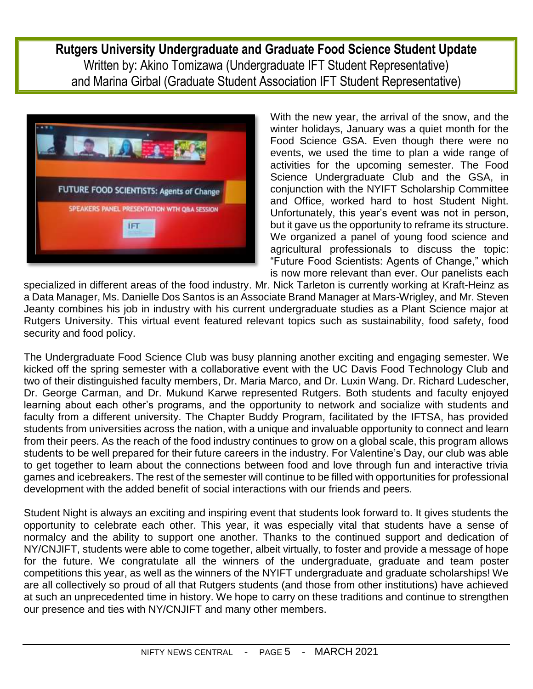**Rutgers University Undergraduate and Graduate Food Science Student Update** Written by: Akino Tomizawa (Undergraduate IFT Student Representative) and Marina Girbal (Graduate Student Association IFT Student Representative)



With the new year, the arrival of the snow, and the winter holidays, January was a quiet month for the Food Science GSA. Even though there were no events, we used the time to plan a wide range of activities for the upcoming semester. The Food Science Undergraduate Club and the GSA, in conjunction with the NYIFT Scholarship Committee and Office, worked hard to host Student Night. Unfortunately, this year's event was not in person, but it gave us the opportunity to reframe its structure. We organized a panel of young food science and agricultural professionals to discuss the topic: "Future Food Scientists: Agents of Change," which is now more relevant than ever. Our panelists each

specialized in different areas of the food industry. Mr. Nick Tarleton is currently working at Kraft-Heinz as a Data Manager, Ms. Danielle Dos Santos is an Associate Brand Manager at Mars-Wrigley, and Mr. Steven Jeanty combines his job in industry with his current undergraduate studies as a Plant Science major at Rutgers University. This virtual event featured relevant topics such as sustainability, food safety, food security and food policy.

The Undergraduate Food Science Club was busy planning another exciting and engaging semester. We kicked off the spring semester with a collaborative event with the UC Davis Food Technology Club and two of their distinguished faculty members, Dr. Maria Marco, and Dr. Luxin Wang. Dr. Richard Ludescher, Dr. George Carman, and Dr. Mukund Karwe represented Rutgers. Both students and faculty enjoyed learning about each other's programs, and the opportunity to network and socialize with students and faculty from a different university. The Chapter Buddy Program, facilitated by the IFTSA, has provided students from universities across the nation, with a unique and invaluable opportunity to connect and learn from their peers. As the reach of the food industry continues to grow on a global scale, this program allows students to be well prepared for their future careers in the industry. For Valentine's Day, our club was able to get together to learn about the connections between food and love through fun and interactive trivia games and icebreakers. The rest of the semester will continue to be filled with opportunities for professional development with the added benefit of social interactions with our friends and peers.

Student Night is always an exciting and inspiring event that students look forward to. It gives students the opportunity to celebrate each other. This year, it was especially vital that students have a sense of normalcy and the ability to support one another. Thanks to the continued support and dedication of NY/CNJIFT, students were able to come together, albeit virtually, to foster and provide a message of hope for the future. We congratulate all the winners of the undergraduate, graduate and team poster competitions this year, as well as the winners of the NYIFT undergraduate and graduate scholarships! We are all collectively so proud of all that Rutgers students (and those from other institutions) have achieved at such an unprecedented time in history. We hope to carry on these traditions and continue to strengthen our presence and ties with NY/CNJIFT and many other members.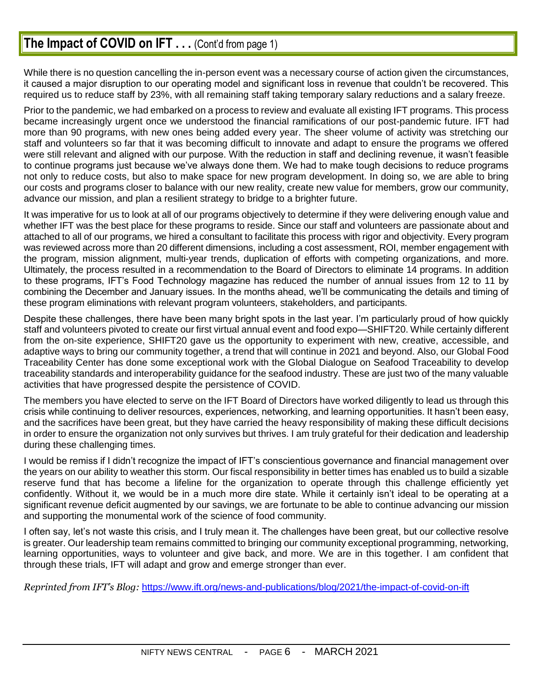# **The Impact of COVID on IFT...** (Cont'd from page 1)

While there is no question cancelling the in-person event was a necessary course of action given the circumstances, it caused a major disruption to our operating model and significant loss in revenue that couldn't be recovered. This required us to reduce staff by 23%, with all remaining staff taking temporary salary reductions and a salary freeze.

Prior to the pandemic, we had embarked on a process to review and evaluate all existing IFT programs. This process became increasingly urgent once we understood the financial ramifications of our post-pandemic future. IFT had more than 90 programs, with new ones being added every year. The sheer volume of activity was stretching our staff and volunteers so far that it was becoming difficult to innovate and adapt to ensure the programs we offered were still relevant and aligned with our purpose. With the reduction in staff and declining revenue, it wasn't feasible to continue programs just because we've always done them. We had to make tough decisions to reduce programs not only to reduce costs, but also to make space for new program development. In doing so, we are able to bring our costs and programs closer to balance with our new reality, create new value for members, grow our community, advance our mission, and plan a resilient strategy to bridge to a brighter future.

It was imperative for us to look at all of our programs objectively to determine if they were delivering enough value and whether IFT was the best place for these programs to reside. Since our staff and volunteers are passionate about and attached to all of our programs, we hired a consultant to facilitate this process with rigor and objectivity. Every program was reviewed across more than 20 different dimensions, including a cost assessment, ROI, member engagement with the program, mission alignment, multi-year trends, duplication of efforts with competing organizations, and more. Ultimately, the process resulted in a recommendation to the Board of Directors to eliminate 14 programs. In addition to these programs, IFT's Food Technology magazine has reduced the number of annual issues from 12 to 11 by combining the December and January issues. In the months ahead, we'll be communicating the details and timing of these program eliminations with relevant program volunteers, stakeholders, and participants.

Despite these challenges, there have been many bright spots in the last year. I'm particularly proud of how quickly staff and volunteers pivoted to create our first virtual annual event and food expo—SHIFT20. While certainly different from the on-site experience, SHIFT20 gave us the opportunity to experiment with new, creative, accessible, and adaptive ways to bring our community together, a trend that will continue in 2021 and beyond. Also, our Global Food Traceability Center has done some exceptional work with the Global Dialogue on Seafood Traceability to develop traceability standards and interoperability guidance for the seafood industry. These are just two of the many valuable activities that have progressed despite the persistence of COVID.

The members you have elected to serve on the IFT Board of Directors have worked diligently to lead us through this crisis while continuing to deliver resources, experiences, networking, and learning opportunities. It hasn't been easy, and the sacrifices have been great, but they have carried the heavy responsibility of making these difficult decisions in order to ensure the organization not only survives but thrives. I am truly grateful for their dedication and leadership during these challenging times.

I would be remiss if I didn't recognize the impact of IFT's conscientious governance and financial management over the years on our ability to weather this storm. Our fiscal responsibility in better times has enabled us to build a sizable reserve fund that has become a lifeline for the organization to operate through this challenge efficiently yet confidently. Without it, we would be in a much more dire state. While it certainly isn't ideal to be operating at a significant revenue deficit augmented by our savings, we are fortunate to be able to continue advancing our mission and supporting the monumental work of the science of food community.

I often say, let's not waste this crisis, and I truly mean it. The challenges have been great, but our collective resolve is greater. Our leadership team remains committed to bringing our community exceptional programming, networking, learning opportunities, ways to volunteer and give back, and more. We are in this together. I am confident that through these trials, IFT will adapt and grow and emerge stronger than ever.

*Reprinted from IFT's Blog:* <https://www.ift.org/news-and-publications/blog/2021/the-impact-of-covid-on-ift>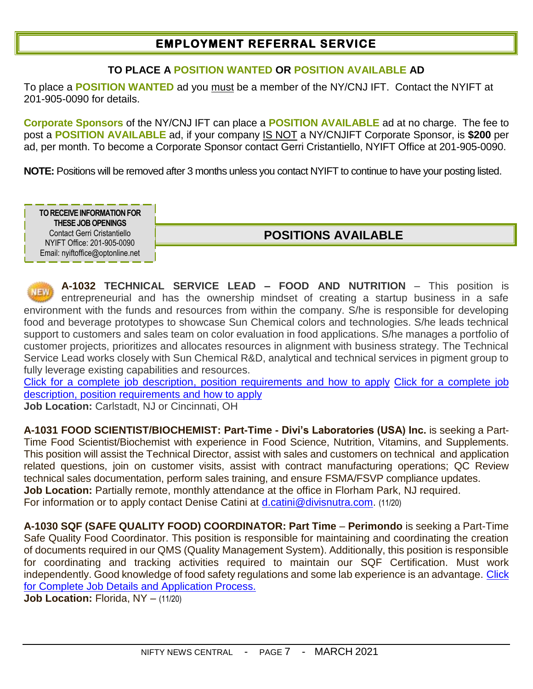## **EMPLOYMENT REFERRAL SERVICE**

#### **TO PLACE A POSITION WANTED OR POSITION AVAILABLE AD**

To place a **POSITION WANTED** ad you must be a member of the NY/CNJ IFT. Contact the NYIFT at 201-905-0090 for details.

**Corporate Sponsors** of the NY/CNJ IFT can place a **POSITION AVAILABLE** ad at no charge. The fee to post a **POSITION AVAILABLE** ad, if your company IS NOT a NY/CNJIFT Corporate Sponsor, is **\$200** per ad, per month. To become a Corporate Sponsor contact Gerri Cristantiello, NYIFT Office at 201-905-0090.

**NOTE:** Positions will be removed after 3 months unless you contact NYIFT to continue to have your posting listed.

**TO RECEIVE INFORMATION FOR THESE JOBOPENINGS** Contact Gerri Cristantiello NYIFT Office: 201-905-0090 Email: nyiftoffice@optonline.net

## **POSITIONS AVAILABLE**

**A-1032 TECHNICAL SERVICE LEAD – FOOD AND NUTRITION** – This position is entrepreneurial and has the ownership mindset of creating a startup business in a safe environment with the funds and resources from within the company. S/he is responsible for developing food and beverage prototypes to showcase Sun Chemical colors and technologies. S/he leads technical support to customers and sales team on color evaluation in food applications. S/he manages a portfolio of customer projects, prioritizes and allocates resources in alignment with business strategy. The Technical Service Lead works closely with Sun Chemical R&D, analytical and technical services in pigment group to fully leverage existing capabilities and resources.

[Click for a complete job description, position requirements](https://careers-sunchemical.icims.com/jobs/4614/lead-tech-serv-food-%26-nutrition/job?iis=Social+Networks&iieid=pl1610629877313e6008&mobile=false&width=1512&height=500&bga=true&needsRedirect=false&jan1offset=-300&jun1offset=-240) and how to apply [Click for a complete job](https://careers-sunchemical.icims.com/jobs/4614/lead-tech-serv-food-%26-nutrition/job?iis=Social+Networks&iieid=pl1610629877313e6008&mobile=false&width=1512&height=500&bga=true&needsRedirect=false&jan1offset=-300&jun1offset=-240)  [description, position requirements](https://careers-sunchemical.icims.com/jobs/4614/lead-tech-serv-food-%26-nutrition/job?iis=Social+Networks&iieid=pl1610629877313e6008&mobile=false&width=1512&height=500&bga=true&needsRedirect=false&jan1offset=-300&jun1offset=-240) and how to apply

**Job Location:** Carlstadt, NJ or Cincinnati, OH

**A-1031 FOOD SCIENTIST/BIOCHEMIST: Part-Time - Divi's Laboratories (USA) Inc.** is seeking a Part-Time Food Scientist/Biochemist with experience in Food Science, Nutrition, Vitamins, and Supplements. This position will assist the Technical Director, assist with sales and customers on technical and application related questions, join on customer visits, assist with contract manufacturing operations; QC Review technical sales documentation, perform sales training, and ensure FSMA/FSVP compliance updates. **Job Location:** Partially remote, monthly attendance at the office in Florham Park, NJ required. For information or to apply contact Denise Catini at [d.catini@divisnutra.com.](mailto:d.catini@divisnutra.com) (11/20)

**A-1030 SQF (SAFE QUALITY FOOD) COORDINATOR: Part Time** – **Perimondo** is seeking a Part-Time Safe Quality Food Coordinator. This position is responsible for maintaining and coordinating the creation of documents required in our QMS (Quality Management System). Additionally, this position is responsible for coordinating and tracking activities required to maintain our SQF Certification. Must work independently. Good knowledge of food safety regulations and some lab experience is an advantage. [Click](https://www.indeed.com/job/sqf-coordinator-part-time-08a43388016855db)  for Complete Job [Details and Application Process.](https://www.indeed.com/job/sqf-coordinator-part-time-08a43388016855db)

**Job Location: Florida, NY - (11/20)**